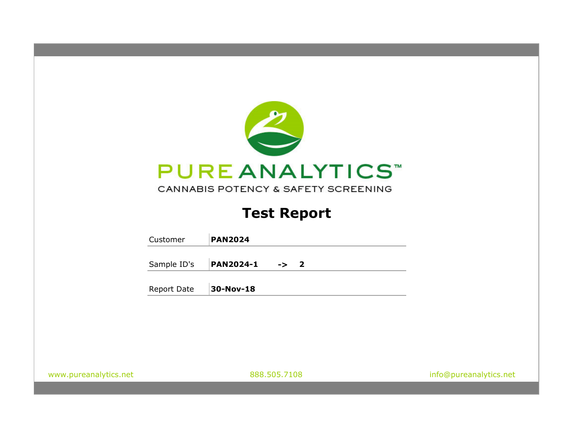

# **Test Report**

| Customer    | <b>PAN2024</b>                      |                        |
|-------------|-------------------------------------|------------------------|
| Sample ID's | <b>PAN2024-1</b><br>$\rightarrow$ 2 |                        |
| Report Date | 30-Nov-18                           |                        |
|             |                                     |                        |
|             |                                     |                        |
|             |                                     |                        |
| tics.net    | 888.505.7108                        | info@pureanalytics.net |
|             |                                     |                        |

www.pureanalyt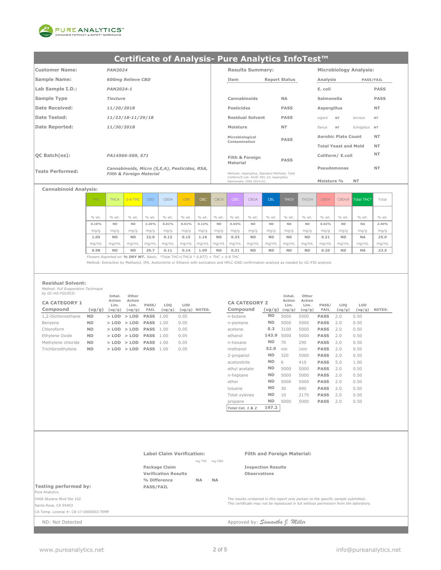

| <b>Customer Name:</b>   | <b>PAN2024</b>                                | <b>Results Summary:</b>                                                                                                |                      | <b>Microbiology Analysis:</b> |           |                  |
|-------------------------|-----------------------------------------------|------------------------------------------------------------------------------------------------------------------------|----------------------|-------------------------------|-----------|------------------|
| <b>Sample Name:</b>     | <b>600mg Relieve CBD</b>                      | Item                                                                                                                   | <b>Report Status</b> | Analysis                      |           | <b>PASS/FAIL</b> |
| Lab Sample I.D.:        | PAN2024-1                                     |                                                                                                                        |                      | E. coli                       |           | <b>PASS</b>      |
| Sample Type             | <b>Tincture</b>                               | Cannabinoids                                                                                                           | <b>NA</b>            | Salmonella                    |           | <b>PASS</b>      |
| <b>Date Received:</b>   | 11/20/2018                                    | <b>Pesticides</b>                                                                                                      | <b>PASS</b>          | Aspergillus                   |           | <b>NT</b>        |
| Date Tested:            | 11/23/18-11/29/18                             | <b>Residual Solvent</b>                                                                                                | <b>PASS</b>          | nigers<br>NT                  | terreus   | NT               |
| Date Reported:          | 11/30/2018                                    | Moisture                                                                                                               | <b>NT</b>            | fumigatus NT<br>flavus<br>NT  |           |                  |
|                         |                                               | Microbiological                                                                                                        | <b>PASS</b>          | <b>Aerobic Plate Count</b>    |           | <b>NT</b>        |
|                         |                                               | Contamination                                                                                                          |                      | <b>Total Yeast and Mold</b>   |           | <b>NT</b>        |
| <b>QC Batch(es):</b>    | PA14566-569, 571                              | Filth & Foreign                                                                                                        |                      | Coliform/ E.coli              |           | <b>NT</b>        |
|                         | Cannabinoids, Micro (S,E,A), Pesticides, RSA, | Material                                                                                                               | <b>PASS</b>          | Pseudomonas                   |           | <b>NT</b>        |
| <b>Tests Performed:</b> | <b>Filth &amp; Foreign Material</b>           | Methods: Aspergillus, Standard Methods; Total<br>Coliform/E.coli- AOAC 991.14; Aspergillus<br>Salmonella- OMA 2014.01; |                      | Moisture %                    | <b>NT</b> |                  |

### **Cannabinoid Analysis:**

| <b>THC</b> | <b>THCA</b> | $d - 8$ THC | <b>CBD</b> | <b>CBDA</b> | <b>CBN</b> | CBC   | <b>CBCA</b>     | CBG   | <b>CBGA</b> | <b>CBL</b> | <b>THCV</b> | <b>THCVA</b> | <b>CBDV</b> | <b>CBDVA</b> | Total THC* | Total |
|------------|-------------|-------------|------------|-------------|------------|-------|-----------------|-------|-------------|------------|-------------|--------------|-------------|--------------|------------|-------|
|            |             |             |            |             |            |       |                 |       |             |            |             |              |             |              |            |       |
| % wt.      | % wt.       | % wt.       | % wt.      | % wt.       | % wt.      | % wt. | % wt.           | % wt. | % wt.       | % wt.      | % wt.       | % wt.        | % wt.       | % wt.        | % wt.      | % wt. |
| 0.10%      | <b>ND</b>   | <b>ND</b>   | 2.20%      | 0.01%       | 0.01%      | 0.12% | <b>ND</b>       | 0.03% | <b>ND</b>   | <b>ND</b>  | <b>ND</b>   | <b>ND</b>    | 0.02%       | <b>ND</b>    | <b>NA</b>  | 2.50% |
| mg/g       | mg/g        | mg/g        | mg/g       | mg/g        | mg/g       | mg/g  | mg/g            | mg/g  | mg/g        | mg/g       | mg/g        | mg/g         | mg/g        | mg/g         | mg/g       | mg/g  |
| 1.05       | <b>ND</b>   | <b>ND</b>   | 22.0       | 0.12        | 0.15       | 1.16  | <b>ND</b>       | 0.33  | <b>ND</b>   | <b>ND</b>  | <b>ND</b>   | <b>ND</b>    | 0.21        | <b>ND</b>    | <b>NA</b>  | 25.0  |
| mg/mL      | mq/ml       | ma/mL       | mq/mL      | mg/mL       | mg/mL      |       | $mq/mL$ $mq/mL$ | mq/mL | mg/mL       | mg/mL      | mq/mL       | ma/mL        | mq/ml       | mg/mL        | ma/mL      | mg/mL |
| 0.98       | <b>ND</b>   | <b>ND</b>   | 20.7       | 0.11        | 0.14       | 1.09  | <b>ND</b>       | 0.31  | <b>ND</b>   | <b>ND</b>  | <b>ND</b>   | <b>ND</b>    | 0.20        | <b>ND</b>    | <b>NA</b>  | 23.5  |

*Flowers Reported on % DRY WT. Basis; \*Total THC=(THCA \* 0.877) + THC + d-8 THC*

Method: Extraction by Methanol, IPA, Acetonitrile or Ethanol with sonication and HPLC-DAD confirmation analysis as needed by GC-FID analysis

#### **Residual Solvent:**

*Method: Full Evaporation Technique by GC-HS-FID/ECD.*

| $UY$ $UU$ $UU$ $I$ $IU$ $IU$     |           | Inhal.                   | Other                    |                  |               |                        |                                  |           | Inhal.                   | Other                    |               |               |               |               |
|----------------------------------|-----------|--------------------------|--------------------------|------------------|---------------|------------------------|----------------------------------|-----------|--------------------------|--------------------------|---------------|---------------|---------------|---------------|
| <b>CA CATEGORY 1</b><br>Compound | (ug/g)    | Action<br>Lim.<br>(ug/g) | Action<br>Lim.<br>(ug/g) | PASS/<br>FAIL    | LOO<br>(ug/g) | LOD<br>$(ug/g)$ NOTES: | <b>CA CATEGORY 2</b><br>Compound | (ug/g)    | Action<br>Lim.<br>(ug/g) | Action<br>Lim.<br>(ug/g) | PASS/<br>FAIL | LOO<br>(ug/g) | LOD<br>(ug/g) | <b>NOTES:</b> |
| 1,2-Dichloroethane               | <b>ND</b> |                          | $>$ LOD $>$ LOD          | <b>PASS</b>      | 1.00          | 0.05                   | n-butane                         | <b>ND</b> | 5000                     | 5000                     | <b>PASS</b>   | 2.0           | 0.50          |               |
| Benzene                          | <b>ND</b> |                          | $>$ LOD $>$ LOD          | <b>PASS</b>      | 1.00          | 0.05                   | n-pentane                        | <b>ND</b> | 5000                     | 5000                     | <b>PASS</b>   | 2.0           | 0.50          |               |
| Chloroform                       | <b>ND</b> |                          | $>$ LOD $>$ LOD          | <b>PASS</b>      | 1.00          | 0.05                   | acetone                          | 0.3       | 3100                     | 5000                     | <b>PASS</b>   | 2.0           | 0.50          |               |
| Ethylene Oxide                   | <b>ND</b> |                          | $>$ LOD $>$ LOD          | <b>PASS</b> 1.00 |               | 0.05                   | ethanol                          | 143.9     | 5000                     | 5000                     | <b>PASS</b>   | 2.0           | 0.50          |               |
| Methylene chloride               | <b>ND</b> |                          | $>$ LOD $>$ LOD          | <b>PASS</b> 1.00 |               | 0.05                   | n-hexane                         | ND.       | 70                       | 290                      | <b>PASS</b>   | 2.0           | 0.50          |               |
| Trichloroethylene                | <b>ND</b> | $>$ LOD $>$ LOD          |                          | <b>PASS</b>      | L.OO          | 0.05                   | methanol                         | 52.9      | 400                      | 3000                     | <b>PASS</b>   | 2.0           | 0.50          |               |
|                                  |           |                          |                          |                  |               |                        |                                  |           |                          |                          |               |               |               |               |

|                      |           | Inhal.         | Other          |             |        |        |               |
|----------------------|-----------|----------------|----------------|-------------|--------|--------|---------------|
| <b>CA CATEGORY 2</b> |           | Action<br>Lim. | Action<br>Lim. | PASS/       | LOQ    | LOD    |               |
| Compound             | (ug/g)    | (ug/g)         | (ug/g)         | <b>FAIL</b> | (ug/g) | (ug/g) | <b>NOTES:</b> |
| n-butane             | <b>ND</b> | 5000           | 5000           | <b>PASS</b> | 2.0    | 0.50   |               |
| n-pentane            | ND        | 5000           | 5000           | <b>PASS</b> | 2.0    | 0.50   |               |
| acetone              | 0.3       | 3100           | 5000           | <b>PASS</b> | 2.0    | 0.50   |               |
| ethanol              | 143.9     | 5000           | 5000           | <b>PASS</b> | 2.0    | 0.50   |               |
| n-hexane             | ND        | 70             | 290            | <b>PASS</b> | 2.0    | 0.50   |               |
| methanol             | 52.9      | 400            | 3000           | <b>PASS</b> | 2.0    | 0.50   |               |
| 2-propanol           | ND        | 320            | 5000           | <b>PASS</b> | 2.0    | 0.50   |               |
| acetonitrile         | ND.       | 6              | 410            | <b>PASS</b> | 5.0    | 1.00   |               |
| ethyl acetate        | ND        | 5000           | 5000           | <b>PASS</b> | 2.0    | 0.50   |               |
| n-heptane            | ND        | 5000           | 5000           | <b>PASS</b> | 2.0    | 0.50   |               |
| ether                | ND.       | 5000           | 5000           | <b>PASS</b> | 2.0    | 0.50   |               |
| toluene              | ND        | 30             | 890            | <b>PASS</b> | 2.0    | 0.50   |               |
| Total xylenes        | ND        | 10             | 2170           | <b>PASS</b> | 2.0    | 0.50   |               |
| propane              | ND.       | 5000           | 5000           | <b>PASS</b> | 2.0    | 0.50   |               |
| Total Cat. 1 & 2     | 197.2     |                |                |             |        |        |               |

|                                        | <b>Label Claim Verification:</b> |           |               | <b>Filth and Foreign Material:</b>                                                    |
|----------------------------------------|----------------------------------|-----------|---------------|---------------------------------------------------------------------------------------|
|                                        |                                  |           | mg THC mg CBD |                                                                                       |
|                                        | Package Claim                    |           |               | <b>Inspection Results</b>                                                             |
|                                        | <b>Verification Results</b>      |           |               | <b>Observations</b>                                                                   |
|                                        | % Difference                     | <b>NA</b> | <b>NA</b>     |                                                                                       |
| Testing performed by:                  | <b>PASS/FAIL</b>                 |           |               |                                                                                       |
| Pure Analytics                         |                                  |           |               |                                                                                       |
| 5468 Skylane Blvd Ste 102              |                                  |           |               | The results contained in this report only pertain to the specific sample submitted.   |
| Santa Rosa, CA 95403                   |                                  |           |               | This certificate may not be repoduced in full without permission from the laboratory. |
| CA Temp. License #: C8-17-0000003-TEMP |                                  |           |               |                                                                                       |
| ND: Not Detected                       |                                  |           |               | Approved by: Samantha J. Miller                                                       |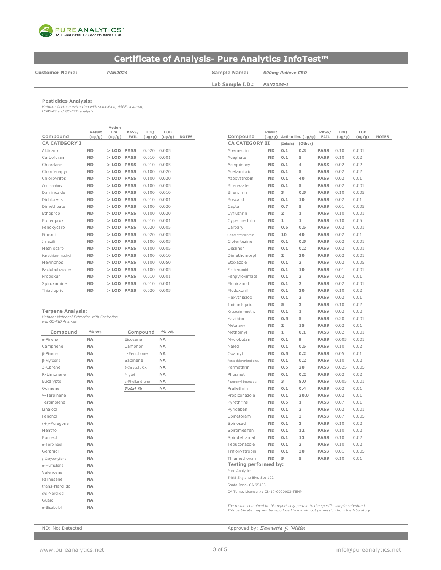

**Customer Name:**

*PAN2024* **Sample Name:** *600mg Relieve CBD*

**Lab Sample I.D.:** *PAN2024-1*

**Pesticides Analysis:**

*Method: Acetone extraction with sonication, dSPE clean-up, LCMSMS and GC-ECD analysis*

|                      | Result    | Action<br>lim. | PASS/       | LOO    | LOD    |              |                       | Result    |                |                    | PASS/       | LOO    | LO    |
|----------------------|-----------|----------------|-------------|--------|--------|--------------|-----------------------|-----------|----------------|--------------------|-------------|--------|-------|
| Compound             | (ug/g)    | (ug/g)         | FAIL        | (ug/g) | (ug/g) | <b>NOTES</b> | Compound              | (ug/g)    |                | Action lim. (ug/g) | FAIL        | (ug/g) | (ug)  |
| <b>CA CATEGORY I</b> |           |                |             |        |        |              | <b>CA CATEGORY II</b> |           | (Inhale)       | (Other)            |             |        |       |
| Aldicarb             | <b>ND</b> | $>$ LOD        | <b>PASS</b> | 0.020  | 0.005  |              | Abamectin             | <b>ND</b> | 0.1            | 0.3                | <b>PASS</b> | 0.10   | 0.001 |
| Carbofuran           | <b>ND</b> | $>$ LOD        | <b>PASS</b> | 0.010  | 0.001  |              | Acephate              | <b>ND</b> | 0.1            | 5                  | <b>PASS</b> | 0.10   | 0.02  |
| Chlordane            | <b>ND</b> | $>$ LOD        | <b>PASS</b> | 0.010  | 0.005  |              | Acequinocyl           | <b>ND</b> | 0.1            | 4                  | <b>PASS</b> | 0.02   | 0.02  |
| Chlorfenapyr         | <b>ND</b> | $>$ LOD        | <b>PASS</b> | 0.100  | 0.020  |              | Acetamiprid           | <b>ND</b> | 0.1            | 5                  | <b>PASS</b> | 0.02   | 0.02  |
| Chlorpyrifos         | <b>ND</b> | $>$ LOD        | <b>PASS</b> | 0.100  | 0.020  |              | Azoxystrobin          | <b>ND</b> | 0.1            | 40                 | <b>PASS</b> | 0.02   | 0.01  |
| Coumaphos            | <b>ND</b> | $>$ LOD        | <b>PASS</b> | 0.100  | 0.005  |              | Bifenazate            | <b>ND</b> | 0.1            | 5                  | <b>PASS</b> | 0.02   | 0.001 |
| Daminozide           | <b>ND</b> | $>$ LOD        | <b>PASS</b> | 0.100  | 0.010  |              | Bifenthrin            | <b>ND</b> | з              | 0.5                | <b>PASS</b> | 0.10   | 0.005 |
| Dichlorvos           | <b>ND</b> | $>$ LOD        | <b>PASS</b> | 0.010  | 0.001  |              | <b>Boscalid</b>       | <b>ND</b> | 0.1            | 10                 | <b>PASS</b> | 0.02   | 0.01  |
| Dimethoate           | <b>ND</b> | $>$ LOD        | <b>PASS</b> | 0.100  | 0.020  |              | Captan                | <b>ND</b> | 0.7            | 5                  | <b>PASS</b> | 0.01   | 0.005 |
| Ethoprop             | <b>ND</b> | $>$ LOD        | <b>PASS</b> | 0.100  | 0.020  |              | Cyfluthrin            | <b>ND</b> | $\overline{2}$ | 1                  | <b>PASS</b> | 0.10   | 0.001 |
| Etofenprox           | <b>ND</b> | $>$ LOD        | <b>PASS</b> | 0.010  | 0.001  |              | Cypermethrin          | <b>ND</b> | 1              | 1                  | <b>PASS</b> | 0.10   | 0.05  |
| Fenoxycarb           | <b>ND</b> | $>$ LOD        | <b>PASS</b> | 0.020  | 0.005  |              | Carbarvl              | <b>ND</b> | 0.5            | 0.5                | <b>PASS</b> | 0.02   | 0.001 |
| Fipronil             | <b>ND</b> | $>$ LOD        | <b>PASS</b> | 0.020  | 0.005  |              | Chlorantraniliprole   | <b>ND</b> | 10             | 40                 | <b>PASS</b> | 0.02   | 0.01  |
| Imazilil             | <b>ND</b> | $>$ LOD        | <b>PASS</b> | 0.100  | 0.005  |              | Clofentezine          | <b>ND</b> | 0.1            | 0.5                | <b>PASS</b> | 0.02   | 0.001 |
| Methiocarb           | <b>ND</b> | $>$ LOD        | <b>PASS</b> | 0.100  | 0.005  |              | Diazinon              | <b>ND</b> | 0.1            | 0.2                | <b>PASS</b> | 0.02   | 0.001 |
| Parathion-methyl     | <b>ND</b> | $>$ LOD        | <b>PASS</b> | 0.100  | 0.010  |              | Dimethomorph          | <b>ND</b> | $\overline{2}$ | 20                 | <b>PASS</b> | 0.02   | 0.001 |
| Mevinphos            | <b>ND</b> | $>$ LOD        | <b>PASS</b> | 0.100  | 0.050  |              | Etoxazole             | <b>ND</b> | 0.1            | $\overline{2}$     | <b>PASS</b> | 0.02   | 0.005 |
| Paclobutrazole       | <b>ND</b> | $>$ LOD        | <b>PASS</b> | 0.100  | 0.005  |              | Fenhexamid            | <b>ND</b> | 0.1            | 10                 | <b>PASS</b> | 0.01   | 0.001 |
| Propoxur             | <b>ND</b> | $>$ LOD        | <b>PASS</b> | 0.010  | 0.001  |              | Fenpyroximate         | <b>ND</b> | 0.1            | $\overline{2}$     | <b>PASS</b> | 0.02   | 0.01  |
| Spiroxamine          | <b>ND</b> | $>$ LOD        | <b>PASS</b> | 0.010  | 0.001  |              | Flonicamid            | <b>ND</b> | 0.1            | 2                  | <b>PASS</b> | 0.02   | 0.001 |
| Thiacloprid          | <b>ND</b> | > LOD PASS     |             | 0.020  | 0.005  |              | Fludoxonil            | <b>ND</b> | 0.1            | 30                 | <b>PASS</b> | 0.10   | 0.02  |

#### **Terpene Analysis:**

*Method: Methanol Extraction with Sonication and GC-FID Analysis*

| Compound            | % wt.     | Compound       | % wt.     |
|---------------------|-----------|----------------|-----------|
| $\alpha$ -Pinene    | <b>NA</b> | Eicosane       | <b>NA</b> |
| Camphene            | <b>NA</b> | Camphor        | <b>NA</b> |
| <b>B-Pinene</b>     | <b>NA</b> | L-Fenchone     | <b>NA</b> |
| <b>B-Myrcene</b>    | <b>NA</b> | Sabinene       | <b>NA</b> |
| 3-Carene            | <b>NA</b> | β-Caryoph. Ox. | <b>NA</b> |
| R-Limonene          | <b>NA</b> | Phytol         | <b>NA</b> |
| Eucalyptol          | <b>NA</b> | a-Phellandrene | <b>NA</b> |
| Ocimene             | <b>NA</b> | Total %        | <b>NA</b> |
| y-Terpinene         | <b>NA</b> |                |           |
| Terpinolene         | <b>NA</b> |                |           |
| Linalool            | <b>NA</b> |                |           |
| Fenchol             | <b>NA</b> |                |           |
| $(+)$ -Pulegone     | <b>NA</b> |                |           |
| Menthol             | <b>NA</b> |                |           |
| Borneol             | <b>NA</b> |                |           |
| $\alpha$ -Terpineol | <b>NA</b> |                |           |
| Geraniol            | <b>NA</b> |                |           |
| β-Caryophyllene     | <b>NA</b> |                |           |
| α-Humulene          | <b>NA</b> |                |           |
| Valencene           | <b>NA</b> |                |           |
| Farnesene           | <b>NA</b> |                |           |
| trans-Nerolidol     | <b>NA</b> |                |           |
| cis-Nerolidol       | <b>NA</b> |                |           |
| Guaiol              | <b>NA</b> |                |           |
| α-Bisabolol         | <b>NA</b> |                |           |
|                     |           |                |           |
|                     |           |                |           |

| Result             | ACLIOII<br>lim. | PASS/          | LOQ    | LOD       |              |                                        | Result    |                |                    | PASS/       | LOQ    | LOD    |              |
|--------------------|-----------------|----------------|--------|-----------|--------------|----------------------------------------|-----------|----------------|--------------------|-------------|--------|--------|--------------|
| (ug/g)             | (ug/g)          | FAIL           | (ug/g) | (ug/g)    | <b>NOTES</b> | Compound                               | (ug/g)    |                | Action lim. (ug/g) | FAIL        | (ug/g) | (ug/g) | <b>NOTES</b> |
|                    |                 |                |        |           |              | <b>CA CATEGORY II</b>                  |           | (Inhale)       | (Other)            |             |        |        |              |
| ND                 | > LOD PASS      |                | 0.020  | 0.005     |              | Abamectin                              | <b>ND</b> | 0.1            | 0.3                | <b>PASS</b> | 0.10   | 0.001  |              |
| ND                 | $>$ LOD         | <b>PASS</b>    | 0.010  | 0.001     |              | Acephate                               | <b>ND</b> | 0.1            | 5                  | <b>PASS</b> | 0.10   | 0.02   |              |
| ND                 | $>$ LOD         | <b>PASS</b>    | 0.010  | 0.005     |              | Acequinocyl                            | <b>ND</b> | 0.1            | 4                  | <b>PASS</b> | 0.02   | 0.02   |              |
| ND                 | $>$ LOD         | <b>PASS</b>    | 0.100  | 0.020     |              | Acetamiprid                            | <b>ND</b> | 0.1            | 5                  | <b>PASS</b> | 0.02   | 0.02   |              |
| <b>ND</b>          | $>$ LOD         | <b>PASS</b>    | 0.100  | 0.020     |              | Azoxystrobin                           | <b>ND</b> | 0.1            | 40                 | <b>PASS</b> | 0.02   | 0.01   |              |
| <b>ND</b>          | > LOD PASS      |                | 0.100  | 0.005     |              | Bifenazate                             | <b>ND</b> | 0.1            | 5                  | <b>PASS</b> | 0.02   | 0.001  |              |
| ND                 | $>$ LOD         | <b>PASS</b>    | 0.100  | 0.010     |              | Bifenthrin                             | <b>ND</b> | з              | 0.5                | <b>PASS</b> | 0.10   | 0.005  |              |
| <b>ND</b>          | $>$ LOD         | <b>PASS</b>    | 0.010  | 0.001     |              | <b>Boscalid</b>                        | <b>ND</b> | 0.1            | 10                 | <b>PASS</b> | 0.02   | 0.01   |              |
| ND                 | $>$ LOD         | <b>PASS</b>    | 0.100  | 0.020     |              | Captan                                 | <b>ND</b> | 0.7            | 5                  | <b>PASS</b> | 0.01   | 0.005  |              |
| ND                 | $>$ LOD         | <b>PASS</b>    | 0.100  | 0.020     |              | Cyfluthrin                             | <b>ND</b> | $\overline{2}$ | $\mathbbm{1}$      | <b>PASS</b> | 0.10   | 0.001  |              |
| <b>ND</b>          | $>$ LOD         | <b>PASS</b>    | 0.010  | 0.001     |              | Cypermethrin                           | <b>ND</b> | 1              | 1                  | <b>PASS</b> | 0.10   | 0.05   |              |
| ND                 | $>$ LOD         | <b>PASS</b>    | 0.020  | 0.005     |              | Carbaryl                               | <b>ND</b> | 0.5            | 0.5                | <b>PASS</b> | 0.02   | 0.001  |              |
| ND                 | > LOD PASS      |                | 0.020  | 0.005     |              | Chlorantraniliprole                    | <b>ND</b> | 10             | 40                 | <b>PASS</b> | 0.02   | 0.01   |              |
| ND                 | $>$ LOD         | <b>PASS</b>    | 0.100  | 0.005     |              | Clofentezine                           | <b>ND</b> | 0.1            | 0.5                | <b>PASS</b> | 0.02   | 0.001  |              |
| ND                 | $>$ LOD         | <b>PASS</b>    | 0.100  | 0.005     |              | Diazinon                               | <b>ND</b> | 0.1            | 0.2                | <b>PASS</b> | 0.02   | 0.001  |              |
| ND                 | $>$ LOD         | <b>PASS</b>    | 0.100  | 0.010     |              | Dimethomorph                           | <b>ND</b> | $\overline{2}$ | 20                 | <b>PASS</b> | 0.02   | 0.001  |              |
| ND                 | $>$ LOD         | <b>PASS</b>    | 0.100  | 0.050     |              | Etoxazole                              | <b>ND</b> | 0.1            | 2                  | <b>PASS</b> | 0.02   | 0.005  |              |
| ΝD                 | > LOD PASS      |                | 0.100  | 0.005     |              | Fenhexamid                             | <b>ND</b> | 0.1            | 10                 | <b>PASS</b> | 0.01   | 0.001  |              |
| <b>ND</b>          | $>$ LOD         | <b>PASS</b>    | 0.010  | 0.001     |              | Fenpyroximate                          | <b>ND</b> | 0.1            | $\overline{2}$     | <b>PASS</b> | 0.02   | 0.01   |              |
| ND                 | $>$ LOD         | <b>PASS</b>    | 0.010  | 0.001     |              | Flonicamid                             | <b>ND</b> | 0.1            | $\overline{2}$     | <b>PASS</b> | 0.02   | 0.001  |              |
| ND                 | $>$ LOD         | <b>PASS</b>    | 0.020  | 0.005     |              | Fludoxonil                             | <b>ND</b> | 0.1            | 30                 | <b>PASS</b> | 0.10   | 0.02   |              |
|                    |                 |                |        |           |              |                                        | <b>ND</b> | 0.1            | $\overline{2}$     | <b>PASS</b> | 0.02   | 0.01   |              |
|                    |                 |                |        |           |              | Hexythiazox                            |           | 5              | 3                  |             |        | 0.02   |              |
|                    |                 |                |        |           |              | Imidacloprid                           | <b>ND</b> |                |                    | <b>PASS</b> | 0.10   |        |              |
| on with Sonication |                 |                |        |           |              | Kresoxim-methyl                        | <b>ND</b> | 0.1            | 1                  | <b>PASS</b> | 0.02   | 0.02   |              |
|                    |                 |                |        |           |              | Malathion                              | <b>ND</b> | 0.5            | 5                  | <b>PASS</b> | 0.20   | 0.001  |              |
|                    |                 |                |        |           |              | Metalaxyl                              | <b>ND</b> | 2              | 15                 | <b>PASS</b> | 0.02   | 0.01   |              |
| % wt.              |                 | Compound       |        | % wt.     |              | Methomyl                               | <b>ND</b> | 1              | 0.1                | <b>PASS</b> | 0.02   | 0.001  |              |
| NΑ                 |                 | Eicosane       |        | <b>NA</b> |              | Myclobutanil                           | <b>ND</b> | 0.1            | 9                  | <b>PASS</b> | 0.005  | 0.001  |              |
| NΑ                 |                 | Camphor        |        | <b>NA</b> |              | Naled                                  | <b>ND</b> | 0.1            | 0.5                | <b>PASS</b> | 0.10   | 0.02   |              |
| NΑ                 |                 | L-Fenchone     |        | <b>NA</b> |              | Oxamyl                                 | <b>ND</b> | 0.5            | 0.2                | <b>PASS</b> | 0.05   | 0.01   |              |
| NΑ                 |                 | Sabinene       |        | <b>NA</b> |              | Pentachloronitrobenz.                  | <b>ND</b> | 0.1            | 0.2                | <b>PASS</b> | 0.10   | 0.02   |              |
| ΝA                 |                 | β-Caryoph. Ox. |        | <b>NA</b> |              | Permethrin                             | <b>ND</b> | 0.5            | 20                 | <b>PASS</b> | 0.025  | 0.005  |              |
| NΑ                 |                 | Phytol         |        | <b>NA</b> |              | Phosmet                                | <b>ND</b> | 0.1            | 0.2                | <b>PASS</b> | 0.02   | 0.02   |              |
| ΝA                 |                 | a-Phellandrene |        | <b>NA</b> |              | Piperonyl butoxide                     | <b>ND</b> | з              | 8.0                | <b>PASS</b> | 0.005  | 0.001  |              |
| ΝA                 |                 | Total %        |        | <b>NA</b> |              | Prallethrin                            | <b>ND</b> | 0.1            | 0.4                | <b>PASS</b> | 0.02   | 0.01   |              |
| NΑ                 |                 |                |        |           |              | Propiconazole                          | <b>ND</b> | 0.1            | 20.0               | <b>PASS</b> | 0.02   | 0.01   |              |
| ΝA                 |                 |                |        |           |              | Pyrethrins                             | <b>ND</b> | 0.5            | $\mathbf{1}$       | <b>PASS</b> | 0.07   | 0.01   |              |
| NΑ                 |                 |                |        |           |              | Pyridaben                              | <b>ND</b> | 0.1            | 3                  | <b>PASS</b> | 0.02   | 0.001  |              |
| NΑ                 |                 |                |        |           |              | Spinetoram                             | <b>ND</b> | 0.1            | 3                  | <b>PASS</b> | 0.07   | 0.005  |              |
| ΝA                 |                 |                |        |           |              | Spinosad                               | ND        | 0.1            | 3                  | <b>PASS</b> | 0.10   | 0.02   |              |
| NΑ                 |                 |                |        |           |              | Spiromesifen                           | <b>ND</b> | 0.1            | 12                 | <b>PASS</b> | 0.10   | 0.02   |              |
| ΝA                 |                 |                |        |           |              | Spirotetramat                          | <b>ND</b> | 0.1            | 13                 | <b>PASS</b> | 0.10   | 0.02   |              |
| NΑ                 |                 |                |        |           |              | Tebuconazole                           | <b>ND</b> | 0.1            | $\overline{2}$     | <b>PASS</b> | 0.10   | 0.02   |              |
| NΑ                 |                 |                |        |           |              | Trifloxystrobin                        | <b>ND</b> | 0.1            | 30                 | <b>PASS</b> | 0.01   | 0.005  |              |
| ΝA                 |                 |                |        |           |              | Thiamethoxam                           | <b>ND</b> | 5              | 5                  | <b>PASS</b> | 0.10   | 0.01   |              |
| NΑ                 |                 |                |        |           |              | Testing performed by:                  |           |                |                    |             |        |        |              |
| ΝA                 |                 |                |        |           |              | Pure Analytics                         |           |                |                    |             |        |        |              |
| ΝA                 |                 |                |        |           |              | 5468 Skylane Blvd Ste 102              |           |                |                    |             |        |        |              |
| NΑ                 |                 |                |        |           |              | Santa Rosa, CA 95403                   |           |                |                    |             |        |        |              |
| NΑ                 |                 |                |        |           |              | CA Temp. License #: C8-17-0000003-TEMP |           |                |                    |             |        |        |              |
|                    |                 |                |        |           |              |                                        |           |                |                    |             |        |        |              |

*The results contained in this report only pertain to the specific sample submitted. This certificate may not be repoduced in full without permission from the laboratory.*

ND: Not Detected Approved by: *Samantha J. Miller*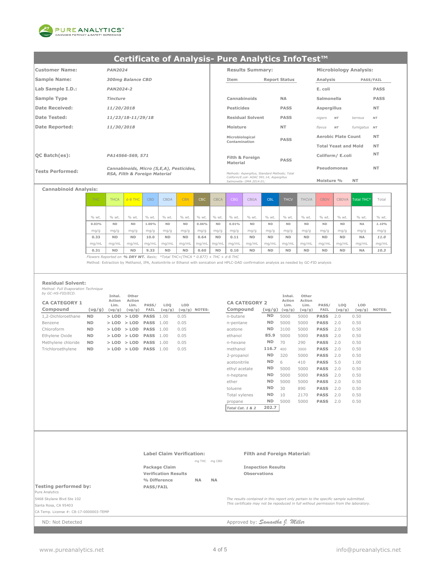

| Customer Name:       | <b>PAN2024</b>                           | <b>Results Summary:</b>                                                                                                |                      |                   | <b>Microbiology Analysis:</b> |             |
|----------------------|------------------------------------------|------------------------------------------------------------------------------------------------------------------------|----------------------|-------------------|-------------------------------|-------------|
| <b>Sample Name:</b>  | 300mg Balance CBD                        | Item                                                                                                                   | <b>Report Status</b> | Analysis          |                               | PASS/FAIL   |
| Lab Sample I.D.:     | PAN2024-2                                |                                                                                                                        |                      | E. coli           |                               | <b>PASS</b> |
| Sample Type          | <b>Tincture</b>                          | Cannabinoids                                                                                                           | <b>NA</b>            | Salmonella        |                               | <b>PASS</b> |
| Date Received:       | 11/20/2018                               | Pesticides                                                                                                             | <b>PASS</b>          | Aspergillus       |                               | <b>NT</b>   |
| Date Tested:         | 11/23/18-11/29/18                        | <b>Residual Solvent</b>                                                                                                | <b>PASS</b>          | nigers<br>NT      | terreus                       | NT          |
| Date Reported:       | 11/30/2018                               | Moisture                                                                                                               | <b>NT</b>            | flavus<br>NT      | fumigatus NT                  |             |
|                      |                                          | Microbiological                                                                                                        | <b>PASS</b>          |                   | <b>Aerobic Plate Count</b>    | <b>NT</b>   |
|                      |                                          | Contamination                                                                                                          |                      |                   | <b>Total Yeast and Mold</b>   | <b>NT</b>   |
| $ OC$ Batch $(es)$ : | PA14566-569, 571                         | Filth & Foreign<br>Material                                                                                            | <b>PASS</b>          | Coliform / E.coli |                               | <b>NT</b>   |
| Tests Performed:     | Cannabinoids, Micro (S,E,A), Pesticides, |                                                                                                                        |                      | Pseudomonas       |                               | <b>NT</b>   |
|                      | RSA, Filth & Foreign Material            | Methods: Aspergillus, Standard Methods; Total<br>Coliform/E.coli- AOAC 991.14; Aspergillus<br>Salmonella- OMA 2014.01: |                      | Moisture %        | <b>NT</b>                     |             |

### **Cannabinoid Analysis:**

| <b>THC</b> | <b>THCA</b> | $d - 8$ THC | <b>CBD</b> | <b>CBDA</b> | <b>CBN</b> | CBC   | <b>CBCA</b> | CBG   | <b>CBGA</b> | <b>CBL</b> | <b>THCV</b> | <b>THCVA</b> | <b>CBDV</b> | <b>CBDVA</b> | Total THC* | Total |
|------------|-------------|-------------|------------|-------------|------------|-------|-------------|-------|-------------|------------|-------------|--------------|-------------|--------------|------------|-------|
|            |             |             |            |             |            |       |             |       |             |            |             |              |             |              |            |       |
| % wt.      | % wt.       | % wt.       | % wt.      | % wt.       | % wt.      | % wt. | % wt.       | % wt. | % wt.       | % wt.      | % wt.       | % wt.        | % wt.       | % wt.        | % wt.      | % wt. |
| 0.03%      | <b>ND</b>   | <b>ND</b>   | 1.00%      | <b>ND</b>   | <b>ND</b>  | 0.06% | <b>ND</b>   | 0.01% | <b>ND</b>   | <b>ND</b>  | <b>ND</b>   | <b>ND</b>    | <b>ND</b>   | <b>ND</b>    | <b>NA</b>  | 1.10% |
| mg/g       | mg/g        | mg/g        | mg/g       | mg/g        | mg/g       | mg/g  | mg/g        | mg/g  | mg/g        | mg/g       | mg/g        | mg/g         | mg/g        | mg/g         | mg/g       | mg/g  |
| 0.33       | <b>ND</b>   | <b>ND</b>   | 10.0       | <b>ND</b>   | <b>ND</b>  | 0.64  | <b>ND</b>   | 0.11  | <b>ND</b>   | <b>ND</b>  | <b>ND</b>   | <b>ND</b>    | <b>ND</b>   | <b>ND</b>    | <b>NA</b>  | 11.0  |
| mg/mL      | mq/mL       | ma/mL       | mq/ml      | mq/mL       | mg/mL      | mq/mL | mg/mL       | mq/mL | mg/mL       | mg/mL      | mq/mL       | mg/mL        | mq/mL       | mg/mL        | mq/mL      | mg/mL |
| 0.31       | <b>ND</b>   | <b>ND</b>   | 9.33       | <b>ND</b>   | <b>ND</b>  | 0.60  | <b>ND</b>   | 0.10  | <b>ND</b>   | <b>ND</b>  | <b>ND</b>   | <b>ND</b>    | <b>ND</b>   | <b>ND</b>    | <b>NA</b>  | 10.3  |

*Flowers Reported on % DRY WT. Basis; \*Total THC=(THCA \* 0.877) + THC + d-8 THC*

Method: Extraction by Methanol, IPA, Acetonitrile or Ethanol with sonication and HPLC-DAD confirmation analysis as needed by GC-FID analysis

#### **Residual Solvent:**

*Method: Full Evaporation Technique by GC-HS-FID/ECD.*

| -, --                |           | Inhal.         | Other           |             |        |                 |                      |                | Inhal.            | Other          |             |        |        |        |
|----------------------|-----------|----------------|-----------------|-------------|--------|-----------------|----------------------|----------------|-------------------|----------------|-------------|--------|--------|--------|
| <b>CA CATEGORY 1</b> |           | Action<br>Lim. | Action<br>Lim.  | PASS/       | LOO    | LOD             | <b>CA CATEGORY 2</b> |                | Action<br>Lim.    | Action<br>Lim. | PASS/       | LOO    | LOD    |        |
| Compound             | (ug/g)    | (ug/g)         | (ug/g)          | FAIL        | (ug/g) | $(ug/g)$ NOTES: | Compound             |                | $(ug/g)$ $(ug/g)$ | (ug/g)         | FAIL        | (ug/g) | (ug/g) | NOTES: |
| 1.2-Dichloroethane   | <b>ND</b> |                | $>$ LOD $>$ LOD | <b>PASS</b> | 1.00   | 0.05            | n-butane             | <b>ND</b>      | 5000              | 5000           | <b>PASS</b> | 2.0    | 0.50   |        |
| Benzene              | <b>ND</b> |                | $>$ LOD $>$ LOD | <b>PASS</b> | 1.00   | 0.05            | n-pentane            | N <sub>D</sub> | 5000              | 5000           | <b>PASS</b> | 2.0    | 0.50   |        |
| Chloroform           | <b>ND</b> |                | $>$ LOD $>$ LOD | <b>PASS</b> | 1.00   | 0.05            | acetone              | ND.            | 3100              | 5000           | <b>PASS</b> | 2.0    | 0.50   |        |
| Ethylene Oxide       | <b>ND</b> |                | $>$ LOD $>$ LOD | <b>PASS</b> | 1.00   | 0.05            | ethanol              | 85.9           | 5000              | 5000           | <b>PASS</b> | 2.0    | 0.50   |        |
| Methylene chloride   | <b>ND</b> |                | $>$ LOD $>$ LOD | <b>PASS</b> | 1.00   | 0.05            | n-hexane             | N <sub>D</sub> | 70                | 290            | <b>PASS</b> | 2.0    | 0.50   |        |
| Trichloroethylene    | <b>ND</b> |                | $>$ LOD $>$ LOD | <b>PASS</b> | 1.00   | 0.05            | methanol             | 116.7          | 400               | 3000           | <b>PASS</b> | 2.0    | 0.50   |        |

|                      |           | Inhal.         | Other          |             |        |        |        |
|----------------------|-----------|----------------|----------------|-------------|--------|--------|--------|
| <b>CA CATEGORY 2</b> |           | Action<br>Lim. | Action<br>Lim. | PASS/       | LOO    | LOD    |        |
| Compound             | (ug/g)    | (ug/g)         | (ug/g)         | <b>FAIL</b> | (ug/g) | (ug/g) | NOTES: |
| n-butane             | <b>ND</b> | 5000           | 5000           | <b>PASS</b> | 2.0    | 0.50   |        |
| n-pentane            | ND        | 5000           | 5000           | <b>PASS</b> | 2.0    | 0.50   |        |
| acetone              | ND        | 3100           | 5000           | <b>PASS</b> | 2.0    | 0.50   |        |
| ethanol              | 85.9      | 5000           | 5000           | <b>PASS</b> | 2.0    | 0.50   |        |
| n-hexane             | ND.       | 70             | 290            | <b>PASS</b> | 2.0    | 0.50   |        |
| methanol             | 116.7     | 400            | 3000           | <b>PASS</b> | 2.0    | 0.50   |        |
| 2-propanol           | ND        | 320            | 5000           | <b>PASS</b> | 2.0    | 0.50   |        |
| acetonitrile         | <b>ND</b> | 6              | 410            | <b>PASS</b> | 5.0    | 1.00   |        |
| ethyl acetate        | ND        | 5000           | 5000           | <b>PASS</b> | 2.0    | 0.50   |        |
| n-heptane            | ND        | 5000           | 5000           | <b>PASS</b> | 2.0    | 0.50   |        |
| ether                | <b>ND</b> | 5000           | 5000           | <b>PASS</b> | 2.0    | 0.50   |        |
| toluene              | ND        | 30             | 890            | <b>PASS</b> | 2.0    | 0.50   |        |
| Total xylenes        | ND        | 10             | 2170           | <b>PASS</b> | 2.0    | 0.50   |        |
| propane              | <b>ND</b> | 5000           | 5000           | <b>PASS</b> | 2.0    | 0.50   |        |
| Total Cat. 1 & 2     | 202.7     |                |                |             |        |        |        |

|                                        | Label Claim Verification:   |           |               | <b>Filth and Foreign Material:</b>                                                    |
|----------------------------------------|-----------------------------|-----------|---------------|---------------------------------------------------------------------------------------|
|                                        |                             |           | mg THC mg CBD |                                                                                       |
|                                        | Package Claim               |           |               | <b>Inspection Results</b>                                                             |
|                                        | <b>Verification Results</b> |           |               | <b>Observations</b>                                                                   |
|                                        | % Difference                | <b>NA</b> | <b>NA</b>     |                                                                                       |
| Testing performed by:                  | <b>PASS/FAIL</b>            |           |               |                                                                                       |
| Pure Analytics                         |                             |           |               |                                                                                       |
| 5468 Skylane Blvd Ste 102              |                             |           |               | The results contained in this report only pertain to the specific sample submitted.   |
| Santa Rosa, CA 95403                   |                             |           |               | This certificate may not be repoduced in full without permission from the laboratory. |
| CA Temp. License #: C8-17-0000003-TEMP |                             |           |               |                                                                                       |
| ND: Not Detected                       |                             |           |               | Approved by: Samantha J. Miller                                                       |